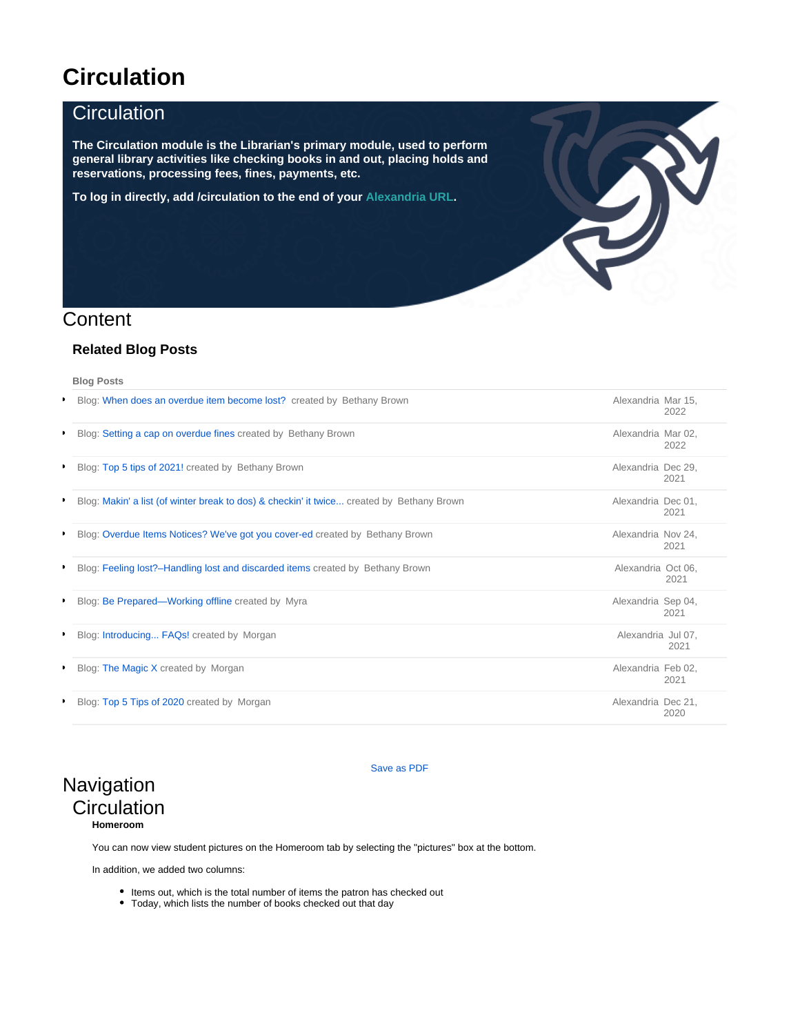# **Circulation**

### **Circulation**

**The Circulation module is the Librarian's primary module, used to perform general library activities like checking books in and out, placing holds and reservations, processing fees, fines, payments, etc.**

**To log in directly, add /circulation to the end of your [Alexandria URL](http://support.companioncorp.com/display/ALEX/Accessing+Alexandria).**

### **Content**

#### **Related Blog Posts**

**Blog Posts**

|   | <b>Blog: When does an overdue item become lost?</b> created by Bethany Brown              | Alexandria Mar 15, | 2022 |
|---|-------------------------------------------------------------------------------------------|--------------------|------|
|   | Blog: Setting a cap on overdue fines created by Bethany Brown                             | Alexandria Mar 02. | 2022 |
|   | Blog: Top 5 tips of 2021! created by Bethany Brown                                        | Alexandria Dec 29, | 2021 |
|   | Blog: Makin' a list (of winter break to dos) & checkin' it twice created by Bethany Brown | Alexandria Dec 01, | 2021 |
|   | • Blog: Overdue Items Notices? We've got you cover-ed created by Bethany Brown            | Alexandria Nov 24, | 2021 |
| , | Blog: Feeling lost?-Handling lost and discarded items created by Bethany Brown            | Alexandria Oct 06, | 2021 |
|   | • Blog: Be Prepared—Working offline created by Myra                                       | Alexandria Sep 04, | 2021 |
|   | Blog: Introducing FAQs! created by Morgan                                                 | Alexandria Jul 07, | 2021 |
|   | • Blog: The Magic X created by Morgan                                                     | Alexandria Feb 02, | 2021 |
|   | Blog: Top 5 Tips of 2020 created by Morgan                                                | Alexandria Dec 21, | 2020 |

 $\mathbf{Z}$ 

### **Navigation Circulation Homeroom**

[Save as PDF](http://support.companioncorp.com/spaces/flyingpdf/pdfpageexport.action?pageId=983641)

You can now view student pictures on the Homeroom tab by selecting the "pictures" box at the bottom.

In addition, we added two columns:

- Items out, which is the total number of items the patron has checked out
- Today, which lists the number of books checked out that day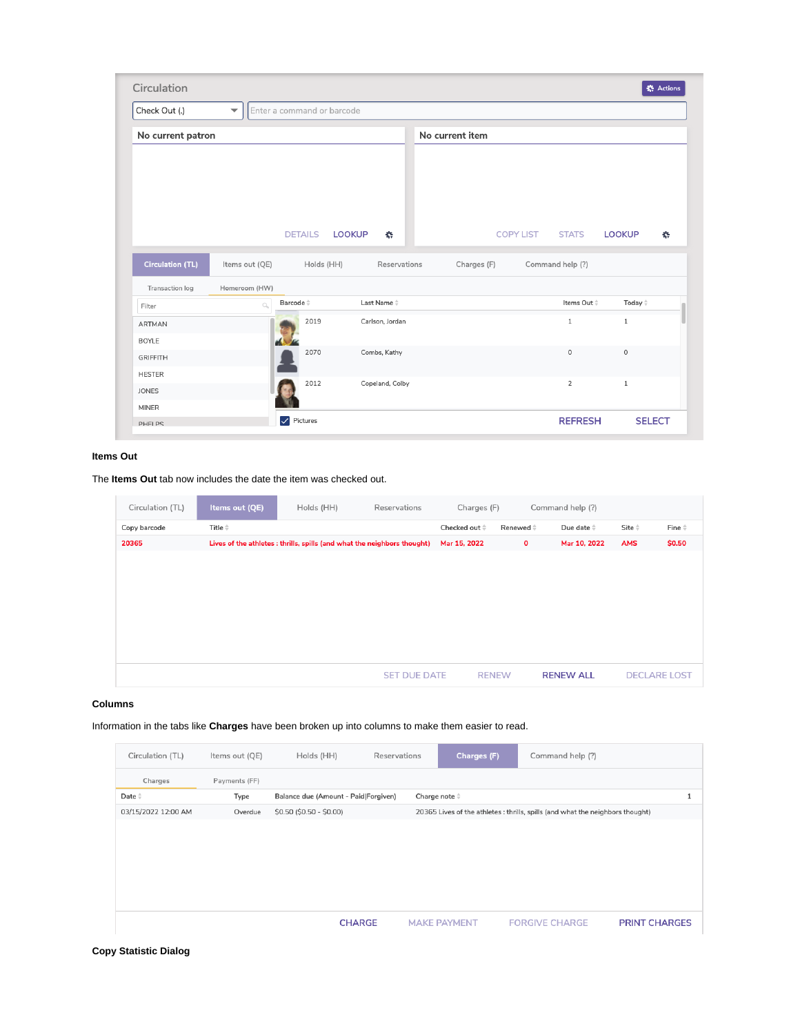| Circulation                     |                          |                                         |                            |                 |                  |                 | <b>卷 Actions</b> |
|---------------------------------|--------------------------|-----------------------------------------|----------------------------|-----------------|------------------|-----------------|------------------|
| Check Out (.)                   | $\overline{\phantom{a}}$ | Enter a command or barcode              |                            |                 |                  |                 |                  |
| No current patron               |                          |                                         |                            | No current item |                  |                 |                  |
|                                 |                          | <b>DETAILS</b>                          | <b>LOOKUP</b><br><b>AN</b> |                 | COPY LIST STATS  | <b>LOOKUP</b>   | $\mathbf{r}$     |
| <b>Circulation (TL)</b>         | Items out (QE)           | Holds (HH)                              | Reservations               | Charges (F)     | Command help (?) |                 |                  |
| Transaction log                 | Homeroom (HW)            |                                         |                            |                 |                  |                 |                  |
| Filter                          | $\alpha$                 | Barcode <sup><math>\hat{=}</math></sup> | Last Name $\hat{=}$        |                 | Items Out #      | Today $\hat{=}$ |                  |
| <b>ARTMAN</b>                   |                          | 2019                                    | Carlson, Jordan            |                 | $\mathbf{1}$     | $\mathbf{1}$    |                  |
|                                 |                          | 2070                                    | Combs, Kathy               |                 | $\circ$          | $\circ$         |                  |
| <b>BOYLE</b><br><b>GRIFFITH</b> |                          |                                         |                            |                 |                  |                 |                  |
| <b>HESTER</b><br><b>JONES</b>   |                          | 2012                                    | Copeland, Colby            |                 | $\overline{2}$   | $\mathbf{1}$    |                  |

#### **Items Out**

The **Items Out** tab now includes the date the item was checked out.

| Circulation (TL) | Items out (QE)  | Holds (HH)                                                               | Reservations        | Charges (F)           |                   | Command help (?)   |                |                     |
|------------------|-----------------|--------------------------------------------------------------------------|---------------------|-----------------------|-------------------|--------------------|----------------|---------------------|
| Copy barcode     | Title $\hat{=}$ |                                                                          |                     | Checked out $\hat{=}$ | Renewed $\hat{=}$ | Due date $\hat{=}$ | Site $\hat{=}$ | Fine $\hat{=}$      |
| 20365            |                 | Lives of the athletes : thrills, spills (and what the neighbors thought) |                     | Mar 15, 2022          | $\mathbf 0$       | Mar 10, 2022       | <b>AMS</b>     | \$0.50              |
|                  |                 |                                                                          |                     |                       |                   |                    |                |                     |
|                  |                 |                                                                          |                     |                       |                   |                    |                |                     |
|                  |                 |                                                                          |                     |                       |                   |                    |                |                     |
|                  |                 |                                                                          |                     |                       |                   |                    |                |                     |
|                  |                 |                                                                          |                     |                       |                   |                    |                |                     |
|                  |                 |                                                                          |                     |                       |                   |                    |                |                     |
|                  |                 |                                                                          |                     |                       |                   |                    |                |                     |
|                  |                 |                                                                          | <b>SET DUE DATE</b> |                       | <b>RENEW</b>      | <b>RENEW ALL</b>   |                | <b>DECLARE LOST</b> |

#### **Columns**

Information in the tabs like **Charges** have been broken up into columns to make them easier to read.

| Circulation (TL)    | Items out (QE) | Holds (HH)                           | Reservations | Charges (F)           | Command help (?)                                                               |                      |
|---------------------|----------------|--------------------------------------|--------------|-----------------------|--------------------------------------------------------------------------------|----------------------|
| Charges             | Payments (FF)  |                                      |              |                       |                                                                                |                      |
| Date $\hat{=}$      | Type           | Balance due (Amount - Paid Forgiven) |              | Charge note $\hat{=}$ |                                                                                |                      |
| 03/15/2022 12:00 AM | Overdue        | \$0.50 (\$0.50 - \$0.00)             |              |                       | 20365 Lives of the athletes : thrills, spills (and what the neighbors thought) |                      |
|                     |                |                                      |              |                       |                                                                                |                      |
|                     |                |                                      |              |                       |                                                                                |                      |
|                     |                |                                      |              |                       |                                                                                |                      |
|                     |                |                                      |              |                       |                                                                                |                      |
|                     |                |                                      |              |                       |                                                                                |                      |
|                     |                |                                      |              |                       |                                                                                |                      |
|                     |                | <b>CHARGE</b>                        |              | <b>MAKE PAYMENT</b>   | <b>FORGIVE CHARGE</b>                                                          | <b>PRINT CHARGES</b> |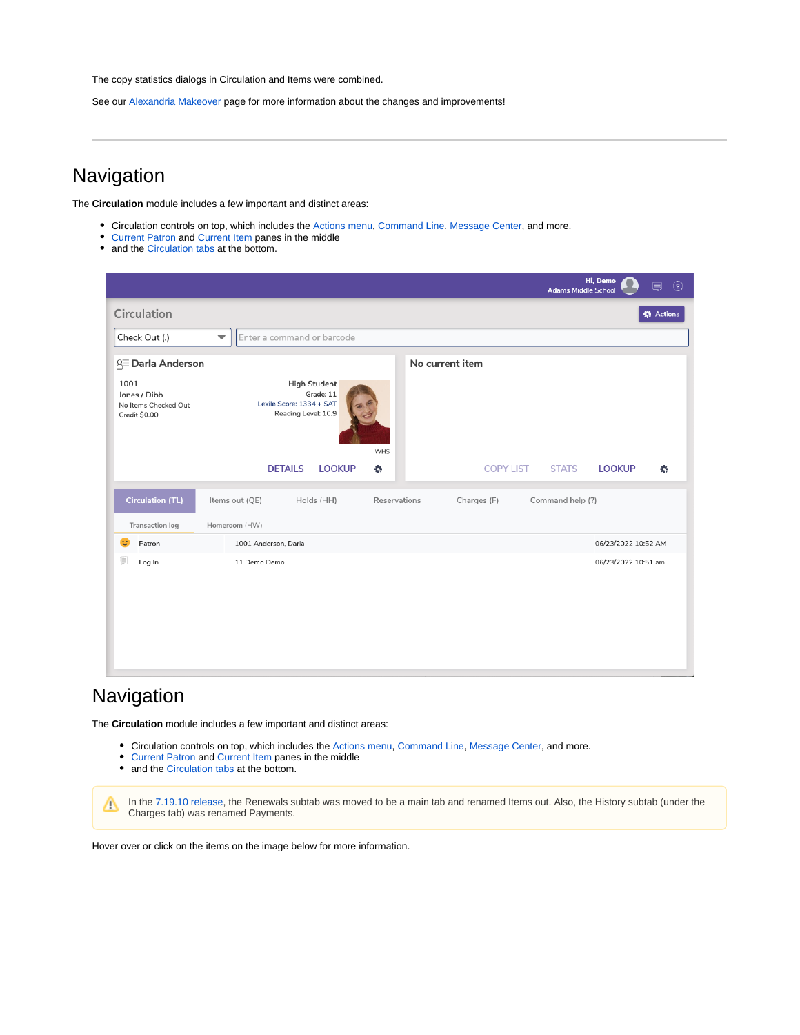The copy statistics dialogs in Circulation and Items were combined.

See our [Alexandria Makeover](http://support.companioncorp.com/display/ALEX/Alexandria+Makeover) page for more information about the changes and improvements!

# **Navigation**

The **Circulation** module includes a few important and distinct areas:

- Circulation controls on top, which includes the Actions menu, Command Line, [Message Center,](http://support.companioncorp.com/display/ALEX/Message+Center) and more.
- Current Patron and Current Item panes in the middle
- and the [Circulation tabs](http://support.companioncorp.com/display/ALEX/Circulation+Tabs) at the bottom.

|                                                                                                                                                                                                                                                                                                                                                               |                                                                                                   | Hi, Demo<br>圓<br><b>Adams Middle School</b>       | $\circled{3}$    |
|---------------------------------------------------------------------------------------------------------------------------------------------------------------------------------------------------------------------------------------------------------------------------------------------------------------------------------------------------------------|---------------------------------------------------------------------------------------------------|---------------------------------------------------|------------------|
| Circulation                                                                                                                                                                                                                                                                                                                                                   |                                                                                                   |                                                   | <b>卷 Actions</b> |
| Check Out (.)                                                                                                                                                                                                                                                                                                                                                 | Enter a command or barcode<br>$\overline{\phantom{a}}$                                            |                                                   |                  |
| 8≡ Darla Anderson                                                                                                                                                                                                                                                                                                                                             |                                                                                                   | No current item                                   |                  |
| 1001<br>Jones / Dibb<br>No Items Checked Out<br>Credit \$0.00                                                                                                                                                                                                                                                                                                 | <b>High Student</b><br>Grade: 11<br>Lexile Score: 1334 + SAT<br>Reading Level: 10.9<br><b>WHS</b> |                                                   |                  |
|                                                                                                                                                                                                                                                                                                                                                               | <b>LOOKUP</b><br><b>DETAILS</b><br>K.                                                             | <b>STATS</b><br><b>COPY LIST</b><br><b>LOOKUP</b> | K.               |
| <b>Circulation (TL)</b>                                                                                                                                                                                                                                                                                                                                       | Items out (QE)<br>Holds (HH)                                                                      | Reservations<br>Charges (F)<br>Command help (?)   |                  |
| Transaction log                                                                                                                                                                                                                                                                                                                                               | Homeroom (HW)                                                                                     |                                                   |                  |
| Đ.<br>Patron                                                                                                                                                                                                                                                                                                                                                  | 1001 Anderson, Darla                                                                              | 06/23/2022 10:52 AM                               |                  |
| $\begin{picture}(40,40) \put(0,0){\line(1,0){15}} \put(10,0){\line(1,0){15}} \put(10,0){\line(1,0){15}} \put(10,0){\line(1,0){15}} \put(10,0){\line(1,0){15}} \put(10,0){\line(1,0){15}} \put(10,0){\line(1,0){15}} \put(10,0){\line(1,0){15}} \put(10,0){\line(1,0){15}} \put(10,0){\line(1,0){15}} \put(10,0){\line(1,0){15}} \put(10,0){\line(1$<br>Log In | 11 Demo Demo                                                                                      | 06/23/2022 10:51 am                               |                  |

## **Navigation**

The **Circulation** module includes a few important and distinct areas:

- Circulation controls on top, which includes the Actions menu, Command Line, [Message Center,](http://support.companioncorp.com/display/ALEX/Message+Center) and more.
- Current Patron and Current Item panes in the middle
- and the [Circulation tabs](http://support.companioncorp.com/display/ALEX/Circulation+Tabs) at the bottom.

In the [7.19.10 release,](http://support.companioncorp.com/display/ALEX/7.19.10+Release+Notes) the Renewals subtab was moved to be a main tab and renamed Items out. Also, the History subtab (under the Δ Charges tab) was renamed Payments.

Hover over or click on the items on the image below for more information.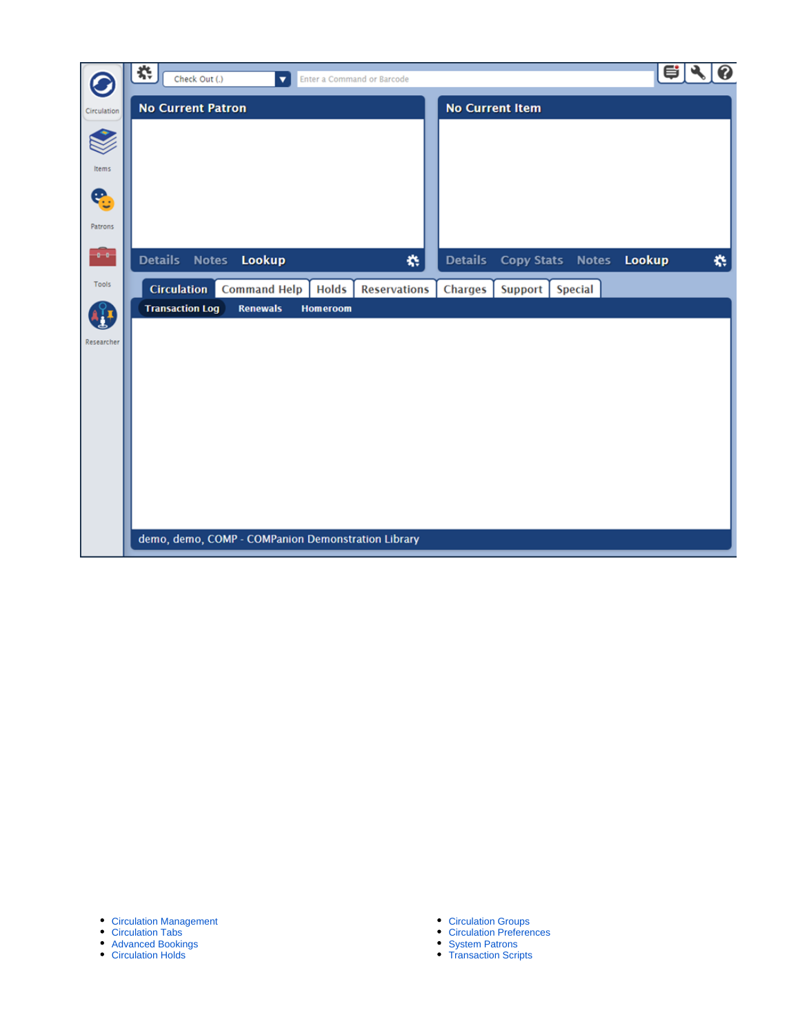|             | 杂<br>Check Out (.)<br>$\blacktriangledown$<br>Enter a Command or Barcode | e  <br>❸                                          |
|-------------|--------------------------------------------------------------------------|---------------------------------------------------|
| Circulation | <b>No Current Patron</b>                                                 | <b>No Current Item</b>                            |
|             |                                                                          |                                                   |
| Items       |                                                                          |                                                   |
| e           |                                                                          |                                                   |
| Patrons     |                                                                          |                                                   |
| -8-8        | <b>Details</b><br><b>Notes</b><br>Lookup<br>桊                            | <b>Details</b><br>Lookup<br>术<br>Copy Stats Notes |
| Tools       | <b>Circulation</b> Command Help<br><b>Holds</b><br><b>Reservations</b>   | Charges<br><b>Special</b><br>Support              |
|             | <b>Transaction Log</b><br><b>Renewals</b><br><b>Homeroom</b>             |                                                   |
| Researcher  |                                                                          |                                                   |
|             |                                                                          |                                                   |
|             |                                                                          |                                                   |
|             |                                                                          |                                                   |
|             |                                                                          |                                                   |
|             |                                                                          |                                                   |
|             |                                                                          |                                                   |
|             |                                                                          |                                                   |
|             | demo, demo, COMP - COMPanion Demonstration Library                       |                                                   |

- [Circulation Management](http://support.companioncorp.com/display/ALEX/Circulation+Management)
- [Circulation Tabs](http://support.companioncorp.com/display/ALEX/Circulation+Tabs)
- [Advanced Bookings](http://support.companioncorp.com/display/ALEX/Advanced+Bookings)
- [Circulation Holds](http://support.companioncorp.com/display/ALEX/Best+Practices+for+Holds)
- [Circulation Groups](http://support.companioncorp.com/display/ALEX/Circulation++Groups)
- [Circulation Preferences](http://support.companioncorp.com/display/ALEX/Circulation++Preferences)
- [System Patrons](http://support.companioncorp.com/display/ALEX/System+Patrons)
- [Transaction Scripts](http://support.companioncorp.com/display/ALEX/Transaction+Scripts)